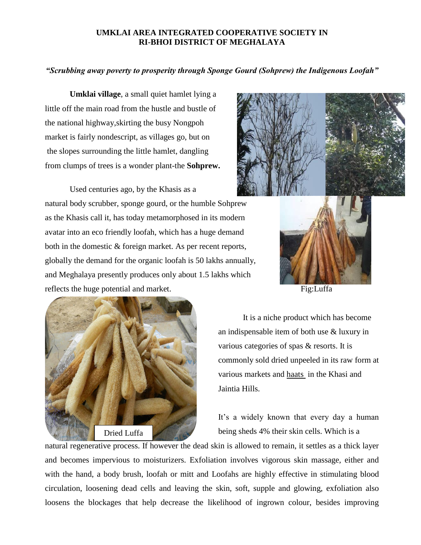## **UMKLAI AREA INTEGRATED COOPERATIVE SOCIETY IN RI-BHOI DISTRICT OF MEGHALAYA**

## *"Scrubbing away poverty to prosperity through Sponge Gourd (Sohprew) the Indigenous Loofah"*

**Umklai village**, a small quiet hamlet lying a little off the main road from the hustle and bustle of the national highway,skirting the busy Nongpoh market is fairly nondescript, as villages go, but on the slopes surrounding the little hamlet, dangling from clumps of trees is a wonder plant-the **Sohprew.**

Used centuries ago, by the Khasis as a natural body scrubber, sponge gourd, or the humble Sohprew as the Khasis call it, has today metamorphosed in its modern avatar into an eco friendly loofah, which has a huge demand both in the domestic & foreign market. As per recent reports, globally the demand for the organic loofah is 50 lakhs annually, and Meghalaya presently produces only about 1.5 lakhs which reflects the huge potential and market. Fig:Luffa







It is a niche product which has become an indispensable item of both use & luxury in various categories of spas & resorts. It is commonly sold dried unpeeled in its raw form at various markets and haats in the Khasi and Jaintia Hills.

It's a widely known that every day a human being sheds 4% their skin cells. Which is a

natural regenerative process. If however the dead skin is allowed to remain, it settles as a thick layer and becomes impervious to moisturizers. Exfoliation involves vigorous skin massage, either and with the hand, a body brush, loofah or mitt and Loofahs are highly effective in stimulating blood circulation, loosening dead cells and leaving the skin, soft, supple and glowing, exfoliation also loosens the blockages that help decrease the likelihood of ingrown colour, besides improving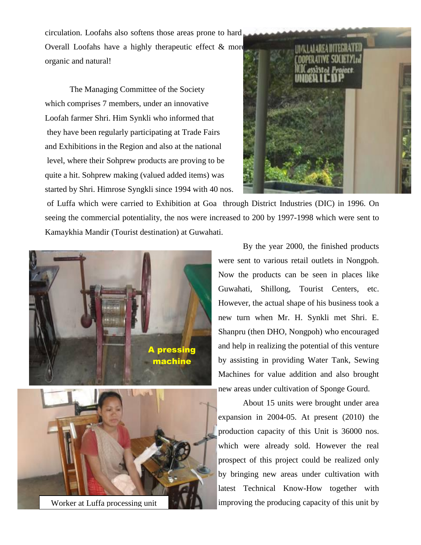circulation. Loofahs also softens those areas prone to hard Overall Loofahs have a highly therapeutic effect  $\&$  more organic and natural!

The Managing Committee of the Society which comprises 7 members, under an innovative Loofah farmer Shri. Him Synkli who informed that they have been regularly participating at Trade Fairs and Exhibitions in the Region and also at the national level, where their Sohprew products are proving to be quite a hit. Sohprew making (valued added items) was started by Shri. Himrose Syngkli since 1994 with 40 nos.



of Luffa which were carried to Exhibition at Goa through District Industries (DIC) in 1996. On seeing the commercial potentiality, the nos were increased to 200 by 1997-1998 which were sent to Kamaykhia Mandir (Tourist destination) at Guwahati.





Worker at Luffa processing unit

By the year 2000, the finished products were sent to various retail outlets in Nongpoh. Now the products can be seen in places like Guwahati, Shillong, Tourist Centers, etc. However, the actual shape of his business took a new turn when Mr. H. Synkli met Shri. E. Shanpru (then DHO, Nongpoh) who encouraged and help in realizing the potential of this venture by assisting in providing Water Tank, Sewing Machines for value addition and also brought new areas under cultivation of Sponge Gourd.

About 15 units were brought under area expansion in 2004-05. At present (2010) the production capacity of this Unit is 36000 nos. which were already sold. However the real prospect of this project could be realized only by bringing new areas under cultivation with latest Technical Know-How together with improving the producing capacity of this unit by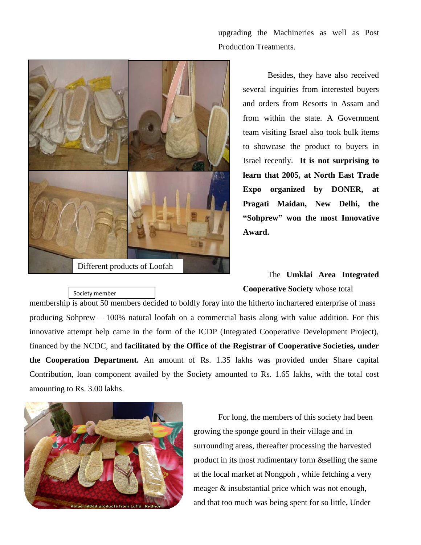upgrading the Machineries as well as Post Production Treatments.



Besides, they have also received several inquiries from interested buyers and orders from Resorts in Assam and from within the state. A Government team visiting Israel also took bulk items to showcase the product to buyers in Israel recently. **It is not surprising to learn that 2005, at North East Trade Expo organized by DONER, at Pragati Maidan, New Delhi, the "Sohprew" won the most Innovative Award.**

## The **Umklai Area Integrated Cooperative Society** whose total

ucts<br>ucts producing Sohprew – 100% natural loofah on a commercial basis along with value addition. For this membership is about 50 members decided to boldly foray into the hitherto inchartered enterprise of mass innovative attempt help came in the form of the ICDP (Integrated Cooperative Development Project), financed by the NCDC, and **facilitated by the Office of the Registrar of Cooperative Societies, under the Cooperation Department.** An amount of Rs. 1.35 lakhs was provided under Share capital Contribution, loan component availed by the Society amounted to Rs. 1.65 lakhs, with the total cost amounting to Rs. 3.00 lakhs.



Society member

For long, the members of this society had been growing the sponge gourd in their village and in surrounding areas, thereafter processing the harvested product in its most rudimentary form &selling the same at the local market at Nongpoh , while fetching a very meager & insubstantial price which was not enough, and that too much was being spent for so little, Under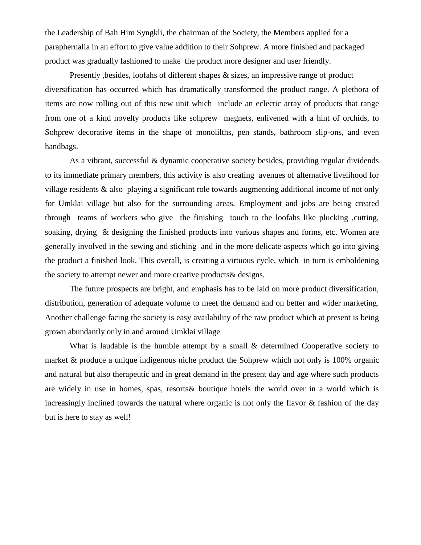the Leadership of Bah Him Syngkli, the chairman of the Society, the Members applied for a paraphernalia in an effort to give value addition to their Sohprew. A more finished and packaged product was gradually fashioned to make the product more designer and user friendly.

Presently, besides, loofahs of different shapes & sizes, an impressive range of product diversification has occurred which has dramatically transformed the product range. A plethora of items are now rolling out of this new unit which include an eclectic array of products that range from one of a kind novelty products like sohprew magnets, enlivened with a hint of orchids, to Sohprew decorative items in the shape of monolilths, pen stands, bathroom slip-ons, and even handbags.

As a vibrant, successful & dynamic cooperative society besides, providing regular dividends to its immediate primary members, this activity is also creating avenues of alternative livelihood for village residents & also playing a significant role towards augmenting additional income of not only for Umklai village but also for the surrounding areas. Employment and jobs are being created through teams of workers who give the finishing touch to the loofahs like plucking ,cutting, soaking, drying & designing the finished products into various shapes and forms, etc. Women are generally involved in the sewing and stiching and in the more delicate aspects which go into giving the product a finished look. This overall, is creating a virtuous cycle, which in turn is emboldening the society to attempt newer and more creative products& designs.

The future prospects are bright, and emphasis has to be laid on more product diversification, distribution, generation of adequate volume to meet the demand and on better and wider marketing. Another challenge facing the society is easy availability of the raw product which at present is being grown abundantly only in and around Umklai village

What is laudable is the humble attempt by a small & determined Cooperative society to market & produce a unique indigenous niche product the Sohprew which not only is 100% organic and natural but also therapeutic and in great demand in the present day and age where such products are widely in use in homes, spas, resorts& boutique hotels the world over in a world which is increasingly inclined towards the natural where organic is not only the flavor & fashion of the day but is here to stay as well!